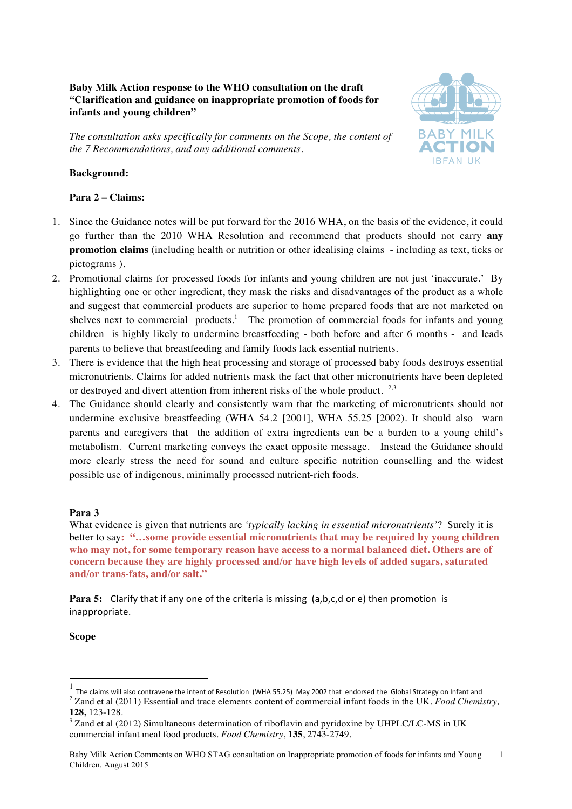# **Baby Milk Action response to the WHO consultation on the draft "Clarification and guidance on inappropriate promotion of foods for infants and young children"**

*The consultation asks specifically for comments on the Scope, the content of the 7 Recommendations, and any additional comments.*



# **Background:**

# **Para 2 – Claims:**

- 1. Since the Guidance notes will be put forward for the 2016 WHA, on the basis of the evidence, it could go further than the 2010 WHA Resolution and recommend that products should not carry **any promotion claims** (including health or nutrition or other idealising claims - including as text, ticks or pictograms ).
- 2. Promotional claims for processed foods for infants and young children are not just 'inaccurate.' By highlighting one or other ingredient, they mask the risks and disadvantages of the product as a whole and suggest that commercial products are superior to home prepared foods that are not marketed on shelves next to commercial products.<sup>1</sup> The promotion of commercial foods for infants and young children is highly likely to undermine breastfeeding - both before and after 6 months - and leads parents to believe that breastfeeding and family foods lack essential nutrients.
- 3. There is evidence that the high heat processing and storage of processed baby foods destroys essential micronutrients. Claims for added nutrients mask the fact that other micronutrients have been depleted or destroyed and divert attention from inherent risks of the whole product.  $2.3$
- 4. The Guidance should clearly and consistently warn that the marketing of micronutrients should not undermine exclusive breastfeeding (WHA 54.2 [2001], WHA 55.25 [2002). It should also warn parents and caregivers that the addition of extra ingredients can be a burden to a young child's metabolism. Current marketing conveys the exact opposite message. Instead the Guidance should more clearly stress the need for sound and culture specific nutrition counselling and the widest possible use of indigenous, minimally processed nutrient-rich foods.

# **Para 3**

What evidence is given that nutrients are *'typically lacking in essential micronutrients'*? Surely it is better to say**: "…some provide essential micronutrients that may be required by young children who may not, for some temporary reason have access to a normal balanced diet. Others are of concern because they are highly processed and/or have high levels of added sugars, saturated and/or trans-fats, and/or salt."**

**Para 5:** Clarify that if any one of the criteria is missing (a,b,c,d or e) then promotion is inappropriate.

#### **Scope**

The claims will also contravene the intent of Resolution (WHA 55.25) May 2002 that endorsed the Global Strategy on Infant and

<sup>&</sup>lt;sup>2</sup> Zand et al (2011) Essential and trace elements content of commercial infant foods in the UK. Food Chemistry, **128,** 123-128.

<sup>&</sup>lt;sup>3</sup> Zand et al (2012) Simultaneous determination of riboflavin and pyridoxine by UHPLC/LC-MS in UK commercial infant meal food products. *Food Chemistry*, **135**, 2743-2749.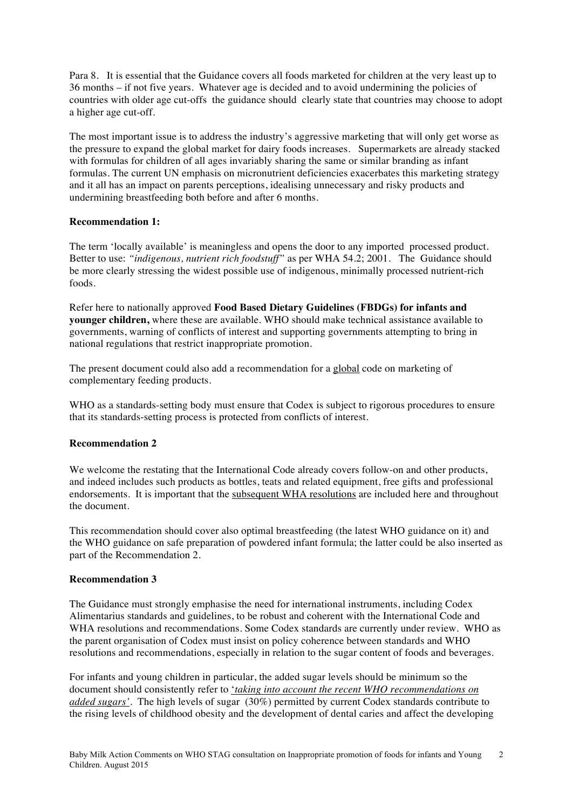Para 8. It is essential that the Guidance covers all foods marketed for children at the very least up to 36 months – if not five years. Whatever age is decided and to avoid undermining the policies of countries with older age cut-offs the guidance should clearly state that countries may choose to adopt a higher age cut-off.

The most important issue is to address the industry's aggressive marketing that will only get worse as the pressure to expand the global market for dairy foods increases. Supermarkets are already stacked with formulas for children of all ages invariably sharing the same or similar branding as infant formulas. The current UN emphasis on micronutrient deficiencies exacerbates this marketing strategy and it all has an impact on parents perceptions, idealising unnecessary and risky products and undermining breastfeeding both before and after 6 months.

# **Recommendation 1:**

The term 'locally available' is meaningless and opens the door to any imported processed product. Better to use: *"indigenous, nutrient rich foodstuff"* as per WHA 54.2; 2001. The Guidance should be more clearly stressing the widest possible use of indigenous, minimally processed nutrient-rich foods.

Refer here to nationally approved **Food Based Dietary Guidelines (FBDGs) for infants and younger children,** where these are available. WHO should make technical assistance available to governments, warning of conflicts of interest and supporting governments attempting to bring in national regulations that restrict inappropriate promotion.

The present document could also add a recommendation for a global code on marketing of complementary feeding products.

WHO as a standards-setting body must ensure that Codex is subject to rigorous procedures to ensure that its standards-setting process is protected from conflicts of interest.

# **Recommendation 2**

We welcome the restating that the International Code already covers follow-on and other products, and indeed includes such products as bottles, teats and related equipment, free gifts and professional endorsements. It is important that the subsequent WHA resolutions are included here and throughout the document.

This recommendation should cover also optimal breastfeeding (the latest WHO guidance on it) and the WHO guidance on safe preparation of powdered infant formula; the latter could be also inserted as part of the Recommendation 2.

# **Recommendation 3**

The Guidance must strongly emphasise the need for international instruments, including Codex Alimentarius standards and guidelines, to be robust and coherent with the International Code and WHA resolutions and recommendations. Some Codex standards are currently under review. WHO as the parent organisation of Codex must insist on policy coherence between standards and WHO resolutions and recommendations, especially in relation to the sugar content of foods and beverages.

For infants and young children in particular, the added sugar levels should be minimum so the document should consistently refer to '*taking into account the recent WHO recommendations on added sugars'*. The high levels of sugar (30%) permitted by current Codex standards contribute to the rising levels of childhood obesity and the development of dental caries and affect the developing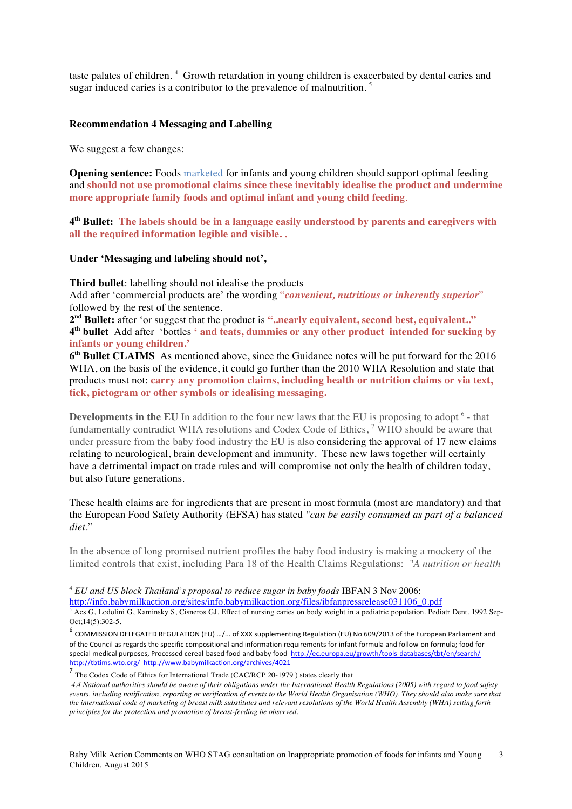taste palates of children. <sup>4</sup> Growth retardation in young children is exacerbated by dental caries and sugar induced caries is a contributor to the prevalence of malnutrition.<sup>5</sup>

#### **Recommendation 4 Messaging and Labelling**

We suggest a few changes:

**Opening sentence:** Foods marketed for infants and young children should support optimal feeding and **should not use promotional claims since these inevitably idealise the product and undermine more appropriate family foods and optimal infant and young child feeding**.

**4th Bullet: The labels should be in a language easily understood by parents and caregivers with all the required information legible and visible. .** 

### **Under 'Messaging and labeling should not',**

**Third bullet**: labelling should not idealise the products

Add after 'commercial products are' the wording "*convenient, nutritious or inherently superior*" followed by the rest of the sentence.

**2nd Bullet:** after 'or suggest that the product is **"..nearly equivalent, second best, equivalent.." 4th bullet** Add after 'bottles **' and teats, dummies or any other product intended for sucking by infants or young children.'**

**6th Bullet CLAIMS** As mentioned above, since the Guidance notes will be put forward for the 2016 WHA, on the basis of the evidence, it could go further than the 2010 WHA Resolution and state that products must not: **carry any promotion claims, including health or nutrition claims or via text, tick, pictogram or other symbols or idealising messaging.**

**Developments in the EU** In addition to the four new laws that the EU is proposing to adopt <sup>6</sup> - that fundamentally contradict WHA resolutions and Codex Code of Ethics, <sup>7</sup> WHO should be aware that under pressure from the baby food industry the EU is also considering the approval of 17 new claims relating to neurological, brain development and immunity. These new laws together will certainly have a detrimental impact on trade rules and will compromise not only the health of children today, but also future generations.

These health claims are for ingredients that are present in most formula (most are mandatory) and that the European Food Safety Authority (EFSA) has stated *"can be easily consumed as part of a balanced diet.*"

In the absence of long promised nutrient profiles the baby food industry is making a mockery of the limited controls that exist, including Para 18 of the Health Claims Regulations: *"A nutrition or health* 

http://info.babymilkaction.org/sites/info.babymilkaction.org/files/ibfanpressrelease031106\_0.pdf<br>
<sup>5</sup> Acs G, Lodolini G, Kaminsky S, Cisneros GJ. Effect of nursing caries on body weight in a pediatric population. Pediatr D

 

<sup>4</sup> *EU and US block Thailand's proposal to reduce sugar in baby foods* IBFAN 3 Nov 2006:

Oct;14(5):302-5.  $^6$  COMMISSION DELEGATED REGULATION (EU) .../... of XXX supplementing Regulation (EU) No 609/2013 of the European Parliament and

of the Council as regards the specific compositional and information requirements for infant formula and follow-on formula; food for special medical purposes, Processed cereal-based food and baby food http://ec.europa.eu/growth/tools-databases/tbt/en/search/ http://tbtims.wto.org/ http://www.babymilkaction.org/archives/4021

The Codex Code of Ethics for International Trade (CAC/RCP 20-1979) states clearly that

*<sup>4.4</sup> National authorities should be aware of their obligations under the International Health Regulations (2005) with regard to food safety events, including notification, reporting or verification of events to the World Health Organisation (WHO). They should also make sure that the international code of marketing of breast milk substitutes and relevant resolutions of the World Health Assembly (WHA) setting forth principles for the protection and promotion of breast-feeding be observed*.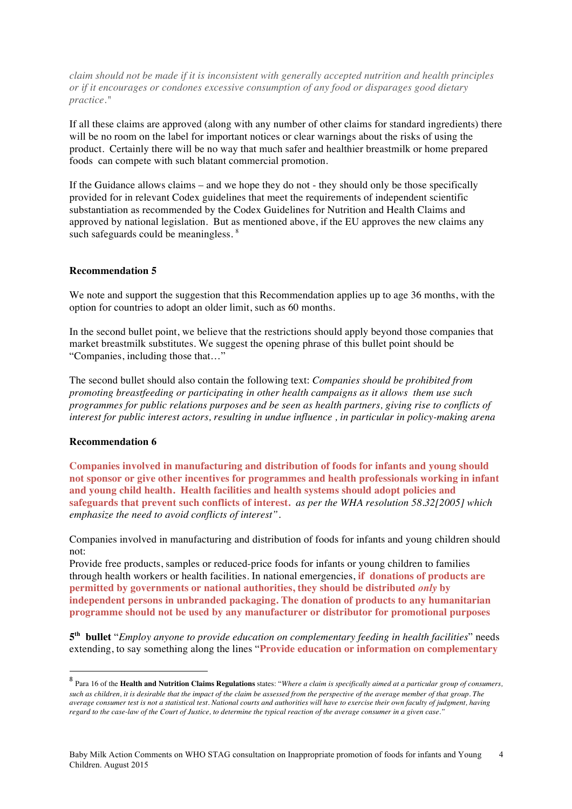*claim should not be made if it is inconsistent with generally accepted nutrition and health principles or if it encourages or condones excessive consumption of any food or disparages good dietary practice."*

If all these claims are approved (along with any number of other claims for standard ingredients) there will be no room on the label for important notices or clear warnings about the risks of using the product. Certainly there will be no way that much safer and healthier breastmilk or home prepared foods can compete with such blatant commercial promotion.

If the Guidance allows claims – and we hope they do not - they should only be those specifically provided for in relevant Codex guidelines that meet the requirements of independent scientific substantiation as recommended by the Codex Guidelines for Nutrition and Health Claims and approved by national legislation. But as mentioned above, if the EU approves the new claims any such safeguards could be meaningless.<sup>8</sup>

# **Recommendation 5**

We note and support the suggestion that this Recommendation applies up to age 36 months, with the option for countries to adopt an older limit, such as 60 months.

In the second bullet point, we believe that the restrictions should apply beyond those companies that market breastmilk substitutes. We suggest the opening phrase of this bullet point should be "Companies, including those that…"

The second bullet should also contain the following text: *Companies should be prohibited from promoting breastfeeding or participating in other health campaigns as it allows them use such programmes for public relations purposes and be seen as health partners, giving rise to conflicts of interest for public interest actors, resulting in undue influence , in particular in policy-making arena*

#### **Recommendation 6**

<u> 1989 - Jan Samuel Barbara, margaret e</u>

**Companies involved in manufacturing and distribution of foods for infants and young should not sponsor or give other incentives for programmes and health professionals working in infant and young child health. Health facilities and health systems should adopt policies and safeguards that prevent such conflicts of interest.** *as per the WHA resolution 58.32[2005] which emphasize the need to avoid conflicts of interest".*

Companies involved in manufacturing and distribution of foods for infants and young children should not:

Provide free products, samples or reduced-price foods for infants or young children to families through health workers or health facilities. In national emergencies, **if donations of products are permitted by governments or national authorities, they should be distributed** *only* **by independent persons in unbranded packaging. The donation of products to any humanitarian programme should not be used by any manufacturer or distributor for promotional purposes**

**5th bullet** "*Employ anyone to provide education on complementary feeding in health facilities*" needs extending, to say something along the lines "**Provide education or information on complementary** 

<sup>8</sup> Para 16 of the **Health and Nutrition Claims Regulations** states: "*Where a claim is specifically aimed at a particular group of consumers, such as children, it is desirable that the impact of the claim be assessed from the perspective of the average member of that group. The average consumer test is not a statistical test. National courts and authorities will have to exercise their own faculty of judgment, having regard to the case-law of the Court of Justice, to determine the typical reaction of the average consumer in a given case."*